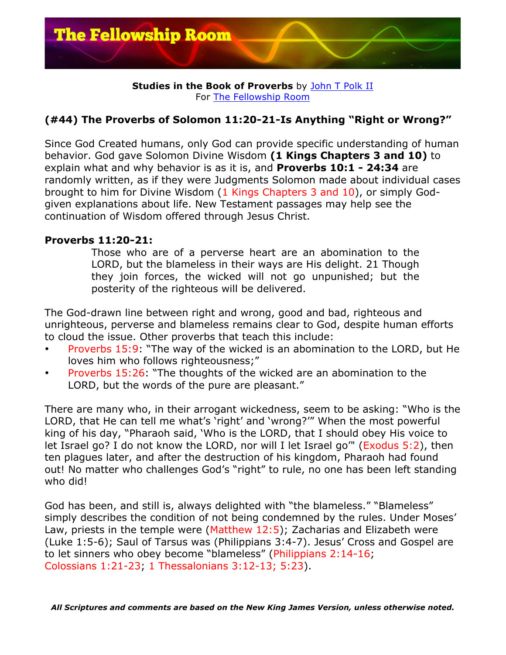

**Studies in the Book of Proverbs** by John T Polk II For The Fellowship Room

## **(#44) The Proverbs of Solomon 11:20-21-Is Anything "Right or Wrong?"**

Since God Created humans, only God can provide specific understanding of human behavior. God gave Solomon Divine Wisdom **(1 Kings Chapters 3 and 10)** to explain what and why behavior is as it is, and **Proverbs 10:1 - 24:34** are randomly written, as if they were Judgments Solomon made about individual cases brought to him for Divine Wisdom (1 Kings Chapters 3 and 10), or simply Godgiven explanations about life. New Testament passages may help see the continuation of Wisdom offered through Jesus Christ.

## **Proverbs 11:20-21:**

Those who are of a perverse heart are an abomination to the LORD, but the blameless in their ways are His delight. 21 Though they join forces, the wicked will not go unpunished; but the posterity of the righteous will be delivered.

The God-drawn line between right and wrong, good and bad, righteous and unrighteous, perverse and blameless remains clear to God, despite human efforts to cloud the issue. Other proverbs that teach this include:

- Proverbs 15:9: "The way of the wicked is an abomination to the LORD, but He loves him who follows righteousness;"
- Proverbs 15:26: "The thoughts of the wicked are an abomination to the LORD, but the words of the pure are pleasant."

There are many who, in their arrogant wickedness, seem to be asking: "Who is the LORD, that He can tell me what's 'right' and 'wrong?'" When the most powerful king of his day, "Pharaoh said, 'Who is the LORD, that I should obey His voice to let Israel go? I do not know the LORD, nor will I let Israel go'" (Exodus 5:2), then ten plagues later, and after the destruction of his kingdom, Pharaoh had found out! No matter who challenges God's "right" to rule, no one has been left standing who did!

God has been, and still is, always delighted with "the blameless." "Blameless" simply describes the condition of not being condemned by the rules. Under Moses' Law, priests in the temple were (Matthew 12:5); Zacharias and Elizabeth were (Luke 1:5-6); Saul of Tarsus was (Philippians 3:4-7). Jesus' Cross and Gospel are to let sinners who obey become "blameless" (Philippians 2:14-16; Colossians 1:21-23; 1 Thessalonians 3:12-13; 5:23).